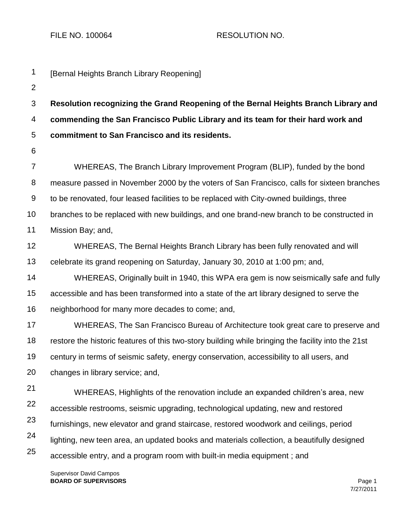FILE NO. 100064 RESOLUTION NO.

| $\mathbf 1$      | [Bernal Heights Branch Library Reopening]                                                          |
|------------------|----------------------------------------------------------------------------------------------------|
| $\overline{2}$   |                                                                                                    |
| $\mathsf 3$      | Resolution recognizing the Grand Reopening of the Bernal Heights Branch Library and                |
| 4                | commending the San Francisco Public Library and its team for their hard work and                   |
| 5                | commitment to San Francisco and its residents.                                                     |
| 6                |                                                                                                    |
| $\overline{7}$   | WHEREAS, The Branch Library Improvement Program (BLIP), funded by the bond                         |
| 8                | measure passed in November 2000 by the voters of San Francisco, calls for sixteen branches         |
| $\boldsymbol{9}$ | to be renovated, four leased facilities to be replaced with City-owned buildings, three            |
| 10               | branches to be replaced with new buildings, and one brand-new branch to be constructed in          |
| 11               | Mission Bay; and,                                                                                  |
| 12               | WHEREAS, The Bernal Heights Branch Library has been fully renovated and will                       |
| 13               | celebrate its grand reopening on Saturday, January 30, 2010 at 1:00 pm; and,                       |
| 14               | WHEREAS, Originally built in 1940, this WPA era gem is now seismically safe and fully              |
| 15               | accessible and has been transformed into a state of the art library designed to serve the          |
| 16               | neighborhood for many more decades to come; and,                                                   |
| 17               | WHEREAS, The San Francisco Bureau of Architecture took great care to preserve and                  |
| 18               | restore the historic features of this two-story building while bringing the facility into the 21st |
| 19               | century in terms of seismic safety, energy conservation, accessibility to all users, and           |
| 20               | changes in library service; and,                                                                   |
| 21               | WHEREAS, Highlights of the renovation include an expanded children's area, new                     |
| 22               | accessible restrooms, seismic upgrading, technological updating, new and restored                  |
| 23               | furnishings, new elevator and grand staircase, restored woodwork and ceilings, period              |
| 24               | lighting, new teen area, an updated books and materials collection, a beautifully designed         |
| 25               | accessible entry, and a program room with built-in media equipment; and                            |
|                  |                                                                                                    |

Supervisor David Campos **BOARD OF SUPERVISORS** Page 1